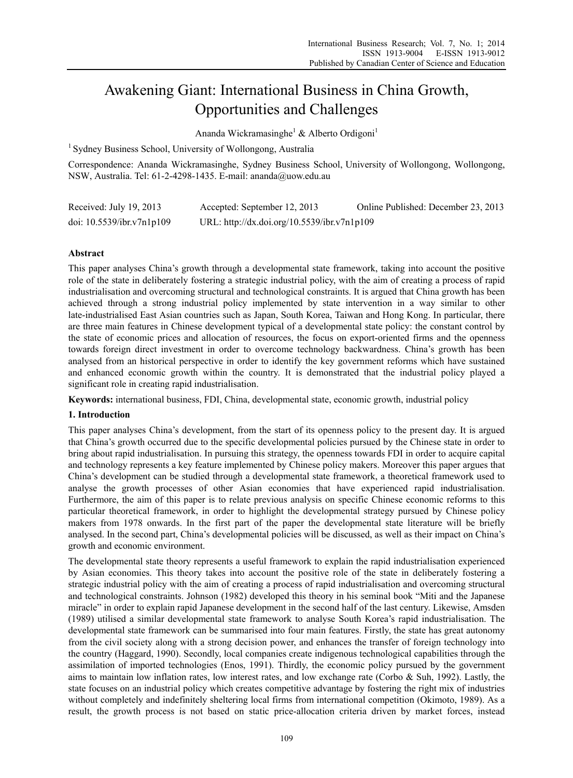# Awakening Giant: International Business in China Growth, Opportunities and Challenges

Ananda Wickramasinghe<sup>1</sup> & Alberto Ordigoni<sup>1</sup>

<sup>1</sup> Sydney Business School, University of Wollongong, Australia

Correspondence: Ananda Wickramasinghe, Sydney Business School, University of Wollongong, Wollongong, NSW, Australia. Tel: 61-2-4298-1435. E-mail: ananda@uow.edu.au

| Received: July 19, 2013   | Accepted: September 12, 2013                | Online Published: December 23, 2013 |
|---------------------------|---------------------------------------------|-------------------------------------|
| doi: 10.5539/ibr.v7n1p109 | URL: http://dx.doi.org/10.5539/ibr.v7n1p109 |                                     |

# **Abstract**

This paper analyses China's growth through a developmental state framework, taking into account the positive role of the state in deliberately fostering a strategic industrial policy, with the aim of creating a process of rapid industrialisation and overcoming structural and technological constraints. It is argued that China growth has been achieved through a strong industrial policy implemented by state intervention in a way similar to other late-industrialised East Asian countries such as Japan, South Korea, Taiwan and Hong Kong. In particular, there are three main features in Chinese development typical of a developmental state policy: the constant control by the state of economic prices and allocation of resources, the focus on export-oriented firms and the openness towards foreign direct investment in order to overcome technology backwardness. China's growth has been analysed from an historical perspective in order to identify the key government reforms which have sustained and enhanced economic growth within the country. It is demonstrated that the industrial policy played a significant role in creating rapid industrialisation.

**Keywords:** international business, FDI, China, developmental state, economic growth, industrial policy

# **1. Introduction**

This paper analyses China's development, from the start of its openness policy to the present day. It is argued that China's growth occurred due to the specific developmental policies pursued by the Chinese state in order to bring about rapid industrialisation. In pursuing this strategy, the openness towards FDI in order to acquire capital and technology represents a key feature implemented by Chinese policy makers. Moreover this paper argues that China's development can be studied through a developmental state framework, a theoretical framework used to analyse the growth processes of other Asian economies that have experienced rapid industrialisation. Furthermore, the aim of this paper is to relate previous analysis on specific Chinese economic reforms to this particular theoretical framework, in order to highlight the developmental strategy pursued by Chinese policy makers from 1978 onwards. In the first part of the paper the developmental state literature will be briefly analysed. In the second part, China's developmental policies will be discussed, as well as their impact on China's growth and economic environment.

The developmental state theory represents a useful framework to explain the rapid industrialisation experienced by Asian economies. This theory takes into account the positive role of the state in deliberately fostering a strategic industrial policy with the aim of creating a process of rapid industrialisation and overcoming structural and technological constraints. Johnson (1982) developed this theory in his seminal book "Miti and the Japanese miracle" in order to explain rapid Japanese development in the second half of the last century. Likewise, Amsden (1989) utilised a similar developmental state framework to analyse South Korea's rapid industrialisation. The developmental state framework can be summarised into four main features. Firstly, the state has great autonomy from the civil society along with a strong decision power, and enhances the transfer of foreign technology into the country (Haggard, 1990). Secondly, local companies create indigenous technological capabilities through the assimilation of imported technologies (Enos, 1991). Thirdly, the economic policy pursued by the government aims to maintain low inflation rates, low interest rates, and low exchange rate (Corbo & Suh, 1992). Lastly, the state focuses on an industrial policy which creates competitive advantage by fostering the right mix of industries without completely and indefinitely sheltering local firms from international competition (Okimoto, 1989). As a result, the growth process is not based on static price-allocation criteria driven by market forces, instead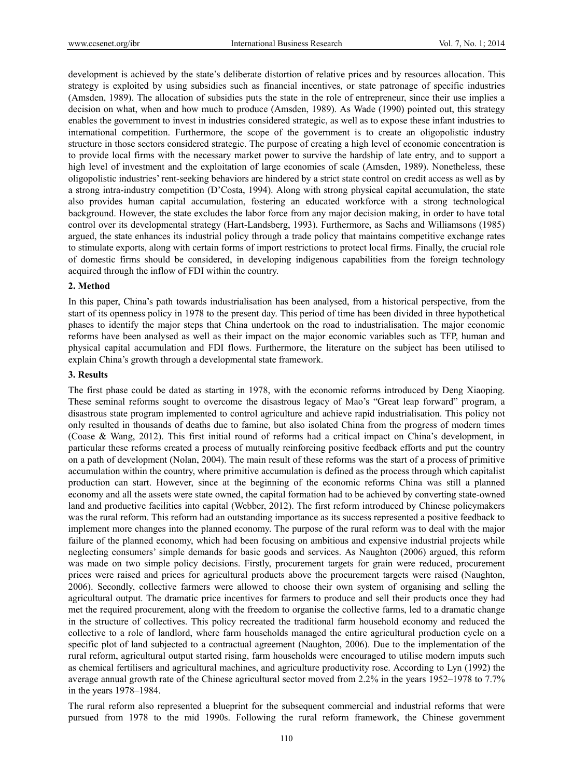development is achieved by the state's deliberate distortion of relative prices and by resources allocation. This strategy is exploited by using subsidies such as financial incentives, or state patronage of specific industries (Amsden, 1989). The allocation of subsidies puts the state in the role of entrepreneur, since their use implies a decision on what, when and how much to produce (Amsden, 1989). As Wade (1990) pointed out, this strategy enables the government to invest in industries considered strategic, as well as to expose these infant industries to international competition. Furthermore, the scope of the government is to create an oligopolistic industry structure in those sectors considered strategic. The purpose of creating a high level of economic concentration is to provide local firms with the necessary market power to survive the hardship of late entry, and to support a high level of investment and the exploitation of large economies of scale (Amsden, 1989). Nonetheless, these oligopolistic industries' rent-seeking behaviors are hindered by a strict state control on credit access as well as by a strong intra-industry competition (D'Costa, 1994). Along with strong physical capital accumulation, the state also provides human capital accumulation, fostering an educated workforce with a strong technological background. However, the state excludes the labor force from any major decision making, in order to have total control over its developmental strategy (Hart-Landsberg, 1993). Furthermore, as Sachs and Williamsons (1985) argued, the state enhances its industrial policy through a trade policy that maintains competitive exchange rates to stimulate exports, along with certain forms of import restrictions to protect local firms. Finally, the crucial role of domestic firms should be considered, in developing indigenous capabilities from the foreign technology acquired through the inflow of FDI within the country.

## **2. Method**

In this paper, China's path towards industrialisation has been analysed, from a historical perspective, from the start of its openness policy in 1978 to the present day. This period of time has been divided in three hypothetical phases to identify the major steps that China undertook on the road to industrialisation. The major economic reforms have been analysed as well as their impact on the major economic variables such as TFP, human and physical capital accumulation and FDI flows. Furthermore, the literature on the subject has been utilised to explain China's growth through a developmental state framework.

#### **3. Results**

The first phase could be dated as starting in 1978, with the economic reforms introduced by Deng Xiaoping. These seminal reforms sought to overcome the disastrous legacy of Mao's "Great leap forward" program, a disastrous state program implemented to control agriculture and achieve rapid industrialisation. This policy not only resulted in thousands of deaths due to famine, but also isolated China from the progress of modern times (Coase & Wang, 2012). This first initial round of reforms had a critical impact on China's development, in particular these reforms created a process of mutually reinforcing positive feedback efforts and put the country on a path of development (Nolan, 2004). The main result of these reforms was the start of a process of primitive accumulation within the country, where primitive accumulation is defined as the process through which capitalist production can start. However, since at the beginning of the economic reforms China was still a planned economy and all the assets were state owned, the capital formation had to be achieved by converting state-owned land and productive facilities into capital (Webber, 2012). The first reform introduced by Chinese policymakers was the rural reform. This reform had an outstanding importance as its success represented a positive feedback to implement more changes into the planned economy. The purpose of the rural reform was to deal with the major failure of the planned economy, which had been focusing on ambitious and expensive industrial projects while neglecting consumers' simple demands for basic goods and services. As Naughton (2006) argued, this reform was made on two simple policy decisions. Firstly, procurement targets for grain were reduced, procurement prices were raised and prices for agricultural products above the procurement targets were raised (Naughton, 2006). Secondly, collective farmers were allowed to choose their own system of organising and selling the agricultural output. The dramatic price incentives for farmers to produce and sell their products once they had met the required procurement, along with the freedom to organise the collective farms, led to a dramatic change in the structure of collectives. This policy recreated the traditional farm household economy and reduced the collective to a role of landlord, where farm households managed the entire agricultural production cycle on a specific plot of land subjected to a contractual agreement (Naughton, 2006). Due to the implementation of the rural reform, agricultural output started rising, farm households were encouraged to utilise modern imputs such as chemical fertilisers and agricultural machines, and agriculture productivity rose. According to Lyn (1992) the average annual growth rate of the Chinese agricultural sector moved from 2.2% in the years 1952–1978 to 7.7% in the years 1978–1984.

The rural reform also represented a blueprint for the subsequent commercial and industrial reforms that were pursued from 1978 to the mid 1990s. Following the rural reform framework, the Chinese government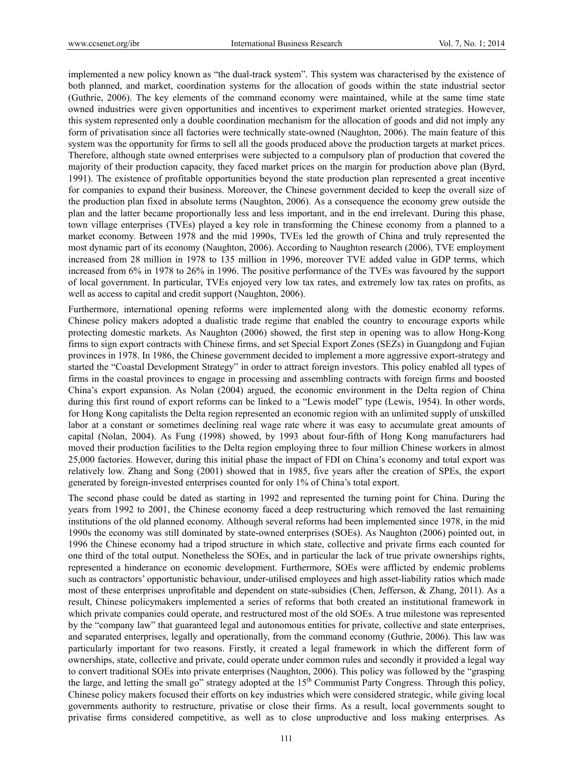implemented a new policy known as "the dual-track system". This system was characterised by the existence of both planned, and market, coordination systems for the allocation of goods within the state industrial sector (Guthrie, 2006). The key elements of the command economy were maintained, while at the same time state owned industries were given opportunities and incentives to experiment market oriented strategies. However, this system represented only a double coordination mechanism for the allocation of goods and did not imply any form of privatisation since all factories were technically state-owned (Naughton, 2006). The main feature of this system was the opportunity for firms to sell all the goods produced above the production targets at market prices. Therefore, although state owned enterprises were subjected to a compulsory plan of production that covered the majority of their production capacity, they faced market prices on the margin for production above plan (Byrd, 1991). The existence of profitable opportunities beyond the state production plan represented a great incentive for companies to expand their business. Moreover, the Chinese government decided to keep the overall size of the production plan fixed in absolute terms (Naughton, 2006). As a consequence the economy grew outside the plan and the latter became proportionally less and less important, and in the end irrelevant. During this phase, town village enterprises (TVEs) played a key role in transforming the Chinese economy from a planned to a market economy. Between 1978 and the mid 1990s, TVEs led the growth of China and truly represented the most dynamic part of its economy (Naughton, 2006). According to Naughton research (2006), TVE employment increased from 28 million in 1978 to 135 million in 1996, moreover TVE added value in GDP terms, which increased from 6% in 1978 to 26% in 1996. The positive performance of the TVEs was favoured by the support of local government. In particular, TVEs enjoyed very low tax rates, and extremely low tax rates on profits, as well as access to capital and credit support (Naughton, 2006).

Furthermore, international opening reforms were implemented along with the domestic economy reforms. Chinese policy makers adopted a dualistic trade regime that enabled the country to encourage exports while protecting domestic markets. As Naughton (2006) showed, the first step in opening was to allow Hong-Kong firms to sign export contracts with Chinese firms, and set Special Export Zones (SEZs) in Guangdong and Fujian provinces in 1978. In 1986, the Chinese government decided to implement a more aggressive export-strategy and started the "Coastal Development Strategy" in order to attract foreign investors. This policy enabled all types of firms in the coastal provinces to engage in processing and assembling contracts with foreign firms and boosted China's export expansion. As Nolan (2004) argued, the economic environment in the Delta region of China during this first round of export reforms can be linked to a "Lewis model" type (Lewis, 1954). In other words, for Hong Kong capitalists the Delta region represented an economic region with an unlimited supply of unskilled labor at a constant or sometimes declining real wage rate where it was easy to accumulate great amounts of capital (Nolan, 2004). As Fung (1998) showed, by 1993 about four-fifth of Hong Kong manufacturers had moved their production facilities to the Delta region employing three to four million Chinese workers in almost 25,000 factories. However, during this initial phase the impact of FDI on China's economy and total export was relatively low. Zhang and Song (2001) showed that in 1985, five years after the creation of SPEs, the export generated by foreign-invested enterprises counted for only 1% of China's total export.

The second phase could be dated as starting in 1992 and represented the turning point for China. During the years from 1992 to 2001, the Chinese economy faced a deep restructuring which removed the last remaining institutions of the old planned economy. Although several reforms had been implemented since 1978, in the mid 1990s the economy was still dominated by state-owned enterprises (SOEs). As Naughton (2006) pointed out, in 1996 the Chinese economy had a tripod structure in which state, collective and private firms each counted for one third of the total output. Nonetheless the SOEs, and in particular the lack of true private ownerships rights, represented a hinderance on economic development. Furthermore, SOEs were afflicted by endemic problems such as contractors' opportunistic behaviour, under-utilised employees and high asset-liability ratios which made most of these enterprises unprofitable and dependent on state-subsidies (Chen, Jefferson, & Zhang, 2011). As a result, Chinese policymakers implemented a series of reforms that both created an institutional framework in which private companies could operate, and restructured most of the old SOEs. A true milestone was represented by the "company law" that guaranteed legal and autonomous entities for private, collective and state enterprises, and separated enterprises, legally and operationally, from the command economy (Guthrie, 2006). This law was particularly important for two reasons. Firstly, it created a legal framework in which the different form of ownerships, state, collective and private, could operate under common rules and secondly it provided a legal way to convert traditional SOEs into private enterprises (Naughton, 2006). This policy was followed by the "grasping the large, and letting the small go" strategy adopted at the 15<sup>th</sup> Communist Party Congress. Through this policy, Chinese policy makers focused their efforts on key industries which were considered strategic, while giving local governments authority to restructure, privatise or close their firms. As a result, local governments sought to privatise firms considered competitive, as well as to close unproductive and loss making enterprises. As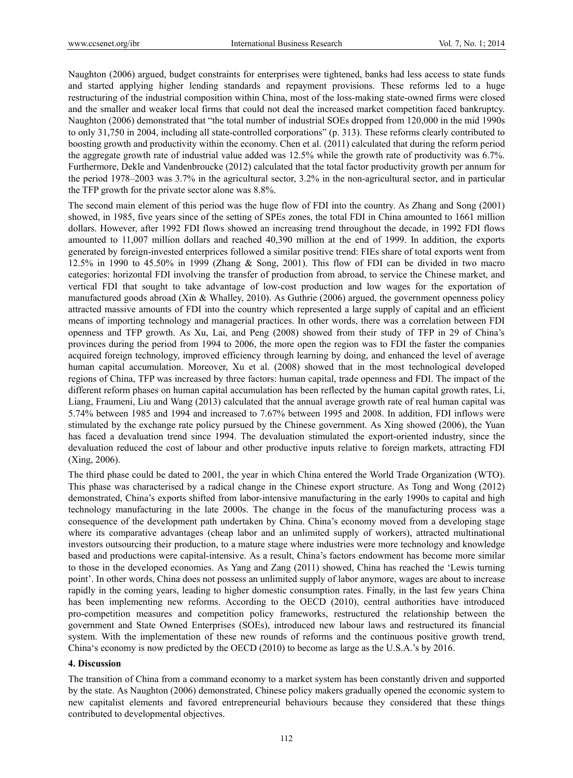Naughton (2006) argued, budget constraints for enterprises were tightened, banks had less access to state funds and started applying higher lending standards and repayment provisions. These reforms led to a huge restructuring of the industrial composition within China, most of the loss-making state-owned firms were closed and the smaller and weaker local firms that could not deal the increased market competition faced bankruptcy. Naughton (2006) demonstrated that "the total number of industrial SOEs dropped from 120,000 in the mid 1990s to only 31,750 in 2004, including all state-controlled corporations" (p. 313). These reforms clearly contributed to boosting growth and productivity within the economy. Chen et al. (2011) calculated that during the reform period the aggregate growth rate of industrial value added was 12.5% while the growth rate of productivity was 6.7%. Furthermore, Dekle and Vandenbroucke (2012) calculated that the total factor productivity growth per annum for the period 1978–2003 was 3.7% in the agricultural sector, 3.2% in the non-agricultural sector, and in particular the TFP growth for the private sector alone was 8.8%.

The second main element of this period was the huge flow of FDI into the country. As Zhang and Song (2001) showed, in 1985, five years since of the setting of SPEs zones, the total FDI in China amounted to 1661 million dollars. However, after 1992 FDI flows showed an increasing trend throughout the decade, in 1992 FDI flows amounted to 11,007 million dollars and reached 40,390 million at the end of 1999. In addition, the exports generated by foreign-invested enterprices followed a similar positive trend: FIEs share of total exports went from 12.5% in 1990 to 45.50% in 1999 (Zhang & Song, 2001). This flow of FDI can be divided in two macro categories: horizontal FDI involving the transfer of production from abroad, to service the Chinese market, and vertical FDI that sought to take advantage of low-cost production and low wages for the exportation of manufactured goods abroad (Xin & Whalley, 2010). As Guthrie (2006) argued, the government openness policy attracted massive amounts of FDI into the country which represented a large supply of capital and an efficient means of importing technology and managerial practices. In other words, there was a correlation between FDI openness and TFP growth. As Xu, Lai, and Peng (2008) showed from their study of TFP in 29 of China's provinces during the period from 1994 to 2006, the more open the region was to FDI the faster the companies acquired foreign technology, improved efficiency through learning by doing, and enhanced the level of average human capital accumulation. Moreover, Xu et al. (2008) showed that in the most technological developed regions of China, TFP was increased by three factors: human capital, trade openness and FDI. The impact of the different reform phases on human capital accumulation has been reflected by the human capital growth rates, Li, Liang, Fraumeni, Liu and Wang (2013) calculated that the annual average growth rate of real human capital was 5.74% between 1985 and 1994 and increased to 7.67% between 1995 and 2008. In addition, FDI inflows were stimulated by the exchange rate policy pursued by the Chinese government. As Xing showed (2006), the Yuan has faced a devaluation trend since 1994. The devaluation stimulated the export-oriented industry, since the devaluation reduced the cost of labour and other productive inputs relative to foreign markets, attracting FDI (Xing, 2006).

The third phase could be dated to 2001, the year in which China entered the World Trade Organization (WTO). This phase was characterised by a radical change in the Chinese export structure. As Tong and Wong (2012) demonstrated, China's exports shifted from labor-intensive manufacturing in the early 1990s to capital and high technology manufacturing in the late 2000s. The change in the focus of the manufacturing process was a consequence of the development path undertaken by China. China's economy moved from a developing stage where its comparative advantages (cheap labor and an unlimited supply of workers), attracted multinational investors outsourcing their production, to a mature stage where industries were more technology and knowledge based and productions were capital-intensive. As a result, China's factors endowment has become more similar to those in the developed economies. As Yang and Zang (2011) showed, China has reached the 'Lewis turning point'. In other words, China does not possess an unlimited supply of labor anymore, wages are about to increase rapidly in the coming years, leading to higher domestic consumption rates. Finally, in the last few years China has been implementing new reforms. According to the OECD (2010), central authorities have introduced pro-competition measures and competition policy frameworks, restructured the relationship between the government and State Owned Enterprises (SOEs), introduced new labour laws and restructured its financial system. With the implementation of these new rounds of reforms and the continuous positive growth trend, China's economy is now predicted by the OECD (2010) to become as large as the U.S.A.'s by 2016.

## **4. Discussion**

The transition of China from a command economy to a market system has been constantly driven and supported by the state. As Naughton (2006) demonstrated, Chinese policy makers gradually opened the economic system to new capitalist elements and favored entrepreneurial behaviours because they considered that these things contributed to developmental objectives.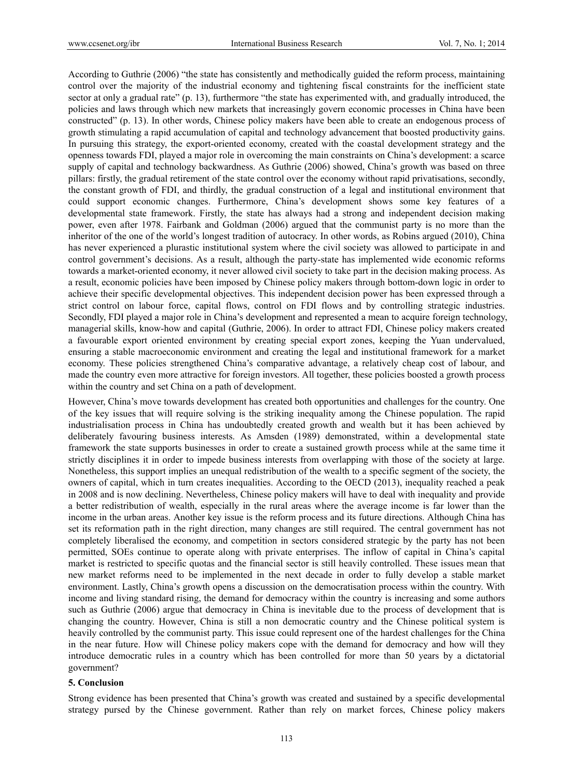According to Guthrie (2006) "the state has consistently and methodically guided the reform process, maintaining control over the majority of the industrial economy and tightening fiscal constraints for the inefficient state sector at only a gradual rate" (p. 13), furthermore "the state has experimented with, and gradually introduced, the policies and laws through which new markets that increasingly govern economic processes in China have been constructed" (p. 13). In other words, Chinese policy makers have been able to create an endogenous process of growth stimulating a rapid accumulation of capital and technology advancement that boosted productivity gains. In pursuing this strategy, the export-oriented economy, created with the coastal development strategy and the openness towards FDI, played a major role in overcoming the main constraints on China's development: a scarce supply of capital and technology backwardness. As Guthrie (2006) showed, China's growth was based on three pillars: firstly, the gradual retirement of the state control over the economy without rapid privatisations, secondly, the constant growth of FDI, and thirdly, the gradual construction of a legal and institutional environment that could support economic changes. Furthermore, China's development shows some key features of a developmental state framework. Firstly, the state has always had a strong and independent decision making power, even after 1978. Fairbank and Goldman (2006) argued that the communist party is no more than the inheritor of the one of the world's longest tradition of autocracy. In other words, as Robins argued (2010), China has never experienced a plurastic institutional system where the civil society was allowed to participate in and control government's decisions. As a result, although the party-state has implemented wide economic reforms towards a market-oriented economy, it never allowed civil society to take part in the decision making process. As a result, economic policies have been imposed by Chinese policy makers through bottom-down logic in order to achieve their specific developmental objectives. This independent decision power has been expressed through a strict control on labour force, capital flows, control on FDI flows and by controlling strategic industries. Secondly, FDI played a major role in China's development and represented a mean to acquire foreign technology, managerial skills, know-how and capital (Guthrie, 2006). In order to attract FDI, Chinese policy makers created a favourable export oriented environment by creating special export zones, keeping the Yuan undervalued, ensuring a stable macroeconomic environment and creating the legal and institutional framework for a market economy. These policies strengthened China's comparative advantage, a relatively cheap cost of labour, and made the country even more attractive for foreign investors. All together, these policies boosted a growth process within the country and set China on a path of development.

However, China's move towards development has created both opportunities and challenges for the country. One of the key issues that will require solving is the striking inequality among the Chinese population. The rapid industrialisation process in China has undoubtedly created growth and wealth but it has been achieved by deliberately favouring business interests. As Amsden (1989) demonstrated, within a developmental state framework the state supports businesses in order to create a sustained growth process while at the same time it strictly disciplines it in order to impede business interests from overlapping with those of the society at large. Nonetheless, this support implies an unequal redistribution of the wealth to a specific segment of the society, the owners of capital, which in turn creates inequalities. According to the OECD (2013), inequality reached a peak in 2008 and is now declining. Nevertheless, Chinese policy makers will have to deal with inequality and provide a better redistribution of wealth, especially in the rural areas where the average income is far lower than the income in the urban areas. Another key issue is the reform process and its future directions. Although China has set its reformation path in the right direction, many changes are still required. The central government has not completely liberalised the economy, and competition in sectors considered strategic by the party has not been permitted, SOEs continue to operate along with private enterprises. The inflow of capital in China's capital market is restricted to specific quotas and the financial sector is still heavily controlled. These issues mean that new market reforms need to be implemented in the next decade in order to fully develop a stable market environment. Lastly, China's growth opens a discussion on the democratisation process within the country. With income and living standard rising, the demand for democracy within the country is increasing and some authors such as Guthrie (2006) argue that democracy in China is inevitable due to the process of development that is changing the country. However, China is still a non democratic country and the Chinese political system is heavily controlled by the communist party. This issue could represent one of the hardest challenges for the China in the near future. How will Chinese policy makers cope with the demand for democracy and how will they introduce democratic rules in a country which has been controlled for more than 50 years by a dictatorial government?

#### **5. Conclusion**

Strong evidence has been presented that China's growth was created and sustained by a specific developmental strategy pursed by the Chinese government. Rather than rely on market forces, Chinese policy makers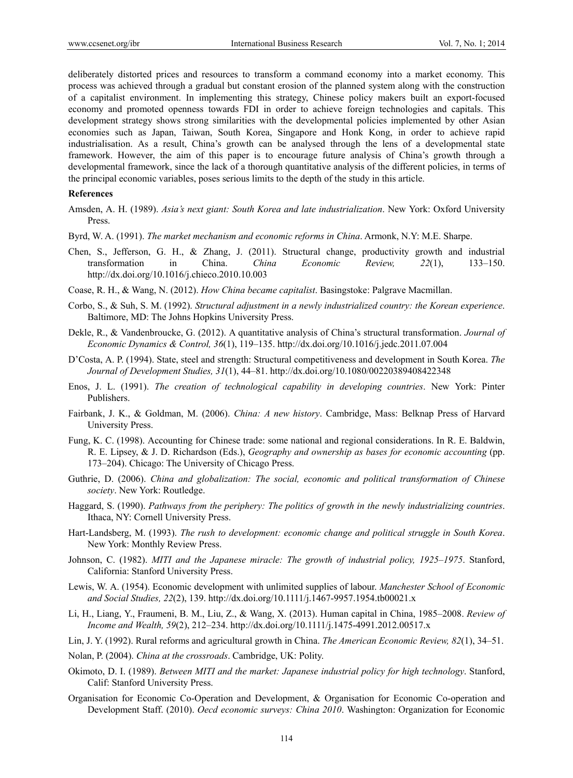deliberately distorted prices and resources to transform a command economy into a market economy. This process was achieved through a gradual but constant erosion of the planned system along with the construction of a capitalist environment. In implementing this strategy, Chinese policy makers built an export-focused economy and promoted openness towards FDI in order to achieve foreign technologies and capitals. This development strategy shows strong similarities with the developmental policies implemented by other Asian economies such as Japan, Taiwan, South Korea, Singapore and Honk Kong, in order to achieve rapid industrialisation. As a result, China's growth can be analysed through the lens of a developmental state framework. However, the aim of this paper is to encourage future analysis of China's growth through a developmental framework, since the lack of a thorough quantitative analysis of the different policies, in terms of the principal economic variables, poses serious limits to the depth of the study in this article.

#### **References**

- Amsden, A. H. (1989). *Asia's next giant: South Korea and late industrialization*. New York: Oxford University Press.
- Byrd, W. A. (1991). *The market mechanism and economic reforms in China*. Armonk, N.Y: M.E. Sharpe.
- Chen, S., Jefferson, G. H., & Zhang, J. (2011). Structural change, productivity growth and industrial transformation in China. *China Economic Review, 22*(1), 133–150. http://dx.doi.org/10.1016/j.chieco.2010.10.003
- Coase, R. H., & Wang, N. (2012). *How China became capitalist*. Basingstoke: Palgrave Macmillan.
- Corbo, S., & Suh, S. M. (1992). *Structural adjustment in a newly industrialized country: the Korean experience*. Baltimore, MD: The Johns Hopkins University Press.
- Dekle, R., & Vandenbroucke, G. (2012). A quantitative analysis of China's structural transformation. *Journal of Economic Dynamics & Control, 36*(1), 119–135. http://dx.doi.org/10.1016/j.jedc.2011.07.004
- D'Costa, A. P. (1994). State, steel and strength: Structural competitiveness and development in South Korea. *The Journal of Development Studies, 31*(1), 44–81. http://dx.doi.org/10.1080/00220389408422348
- Enos, J. L. (1991). *The creation of technological capability in developing countries*. New York: Pinter Publishers.
- Fairbank, J. K., & Goldman, M. (2006). *China: A new history*. Cambridge, Mass: Belknap Press of Harvard University Press.
- Fung, K. C. (1998). Accounting for Chinese trade: some national and regional considerations. In R. E. Baldwin, R. E. Lipsey, & J. D. Richardson (Eds.), *Geography and ownership as bases for economic accounting* (pp. 173–204). Chicago: The University of Chicago Press.
- Guthrie, D. (2006). *China and globalization: The social, economic and political transformation of Chinese society*. New York: Routledge.
- Haggard, S. (1990). *Pathways from the periphery: The politics of growth in the newly industrializing countries*. Ithaca, NY: Cornell University Press.
- Hart-Landsberg, M. (1993). *The rush to development: economic change and political struggle in South Korea*. New York: Monthly Review Press.
- Johnson, C. (1982). *MITI and the Japanese miracle: The growth of industrial policy, 1925–1975*. Stanford, California: Stanford University Press.
- Lewis, W. A. (1954). Economic development with unlimited supplies of labour. *Manchester School of Economic and Social Studies, 22*(2), 139. http://dx.doi.org/10.1111/j.1467-9957.1954.tb00021.x
- Li, H., Liang, Y., Fraumeni, B. M., Liu, Z., & Wang, X. (2013). Human capital in China, 1985–2008. *Review of Income and Wealth, 59*(2), 212–234. http://dx.doi.org/10.1111/j.1475-4991.2012.00517.x
- Lin, J. Y. (1992). Rural reforms and agricultural growth in China. *The American Economic Review, 82*(1), 34–51.
- Nolan, P. (2004). *China at the crossroads*. Cambridge, UK: Polity.
- Okimoto, D. I. (1989). *Between MITI and the market: Japanese industrial policy for high technology*. Stanford, Calif: Stanford University Press.
- Organisation for Economic Co-Operation and Development, & Organisation for Economic Co-operation and Development Staff. (2010). *Oecd economic surveys: China 2010*. Washington: Organization for Economic